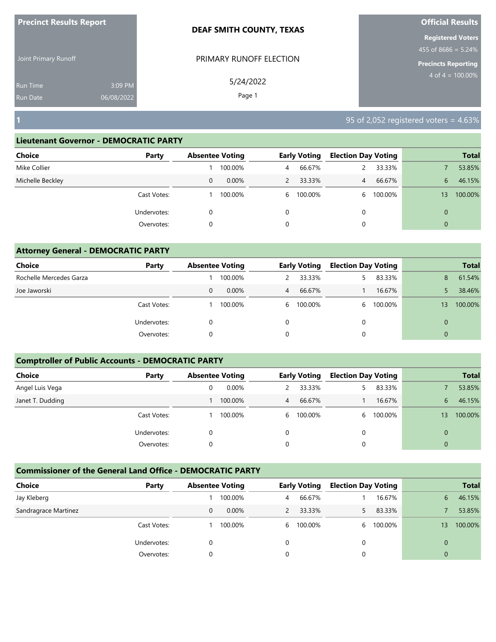| <b>Precinct Results Report</b>     |                       | <b>DEAF SMITH COUNTY, TEXAS</b> | <b>Official Results</b>                                                         |
|------------------------------------|-----------------------|---------------------------------|---------------------------------------------------------------------------------|
| Joint Primary Runoff               |                       | PRIMARY RUNOFF ELECTION         | <b>Registered Voters</b><br>$455$ of 8686 = 5.24%<br><b>Precincts Reporting</b> |
| <b>Run Time</b><br><b>Run Date</b> | 3:09 PM<br>06/08/2022 | 5/24/2022<br>Page 1             | $4 \text{ of } 4 = 100.00\%$                                                    |
| $\vert$ 1                          |                       |                                 | 95 of 2,052 registered voters = $4.63\%$                                        |

| <b>Choice</b>    | Party           | <b>Absentee Voting</b> |   | <b>Early Voting</b> | <b>Election Day Voting</b> |         |                | <b>Total</b> |
|------------------|-----------------|------------------------|---|---------------------|----------------------------|---------|----------------|--------------|
| Mike Collier     |                 | 100.00%                | 4 | 66.67%              |                            | 33.33%  |                | 53.85%       |
| Michelle Beckley | 0               | $0.00\%$               | 2 | 33.33%              | $\overline{4}$             | 66.67%  | 6              | 46.15%       |
| Cast Votes:      |                 | 100.00%                |   | 6 100.00%           | 6.                         | 100.00% | 13             | 100.00%      |
| Undervotes:      | 0               |                        | 0 |                     | 0                          |         | $\Omega$       |              |
|                  | 0<br>Overvotes: |                        | 0 |                     | 0                          |         | $\overline{0}$ |              |

| <b>Attorney General - DEMOCRATIC PARTY</b> |             |   |                        |          |                     |                            |           |             |              |
|--------------------------------------------|-------------|---|------------------------|----------|---------------------|----------------------------|-----------|-------------|--------------|
| Choice                                     | Party       |   | <b>Absentee Voting</b> |          | <b>Early Voting</b> | <b>Election Day Voting</b> |           |             | <b>Total</b> |
| Rochelle Mercedes Garza                    |             |   | 100.00%                |          | 33.33%              | 5                          | 83.33%    | 8           | 61.54%       |
| Joe Jaworski                               |             | 0 | $0.00\%$               | 4        | 66.67%              |                            | 16.67%    |             | 38.46%       |
|                                            | Cast Votes: |   | 100.00%                | 6        | 100.00%             |                            | 6 100.00% | 13          | 100.00%      |
|                                            | Undervotes: |   |                        | $\Omega$ |                     | $\Omega$                   |           |             |              |
|                                            | Overvotes:  | 0 |                        | 0        |                     | 0                          |           | $\mathbf 0$ |              |

# **Comptroller of Public Accounts - DEMOCRATIC PARTY**

| Choice           | Party       | <b>Absentee Voting</b> |         |   | <b>Early Voting</b> | <b>Election Day Voting</b> |         |          | <b>Total</b> |
|------------------|-------------|------------------------|---------|---|---------------------|----------------------------|---------|----------|--------------|
| Angel Luis Vega  |             |                        | 0.00%   |   | 33.33%              |                            | 83.33%  |          | 53.85%       |
| Janet T. Dudding |             |                        | 100.00% | 4 | 66.67%              |                            | 16.67%  | 6        | 46.15%       |
|                  | Cast Votes: |                        | 100.00% | 6 | 100.00%             | 6.                         | 100.00% | 13       | 100.00%      |
|                  | Undervotes: | 0                      |         | 0 |                     | 0                          |         | 0        |              |
|                  | Overvotes:  | 0                      |         | 0 |                     |                            |         | $\Omega$ |              |

| Choice               | Party       | <b>Absentee Voting</b> |          |   | <b>Early Voting</b> | <b>Election Day Voting</b> |         |          | <b>Total</b> |
|----------------------|-------------|------------------------|----------|---|---------------------|----------------------------|---------|----------|--------------|
| Jay Kleberg          |             |                        | 100.00%  | 4 | 66.67%              |                            | 16.67%  | 6        | 46.15%       |
| Sandragrace Martinez |             | 0                      | $0.00\%$ |   | 33.33%              |                            | 83.33%  |          | 53.85%       |
|                      | Cast Votes: |                        | 100.00%  | 6 | 100.00%             | <sub>6</sub>               | 100.00% | 13       | 100.00%      |
|                      | Undervotes: |                        |          | 0 |                     |                            |         | $\Omega$ |              |
|                      | Overvotes:  |                        |          |   |                     |                            |         | 0        |              |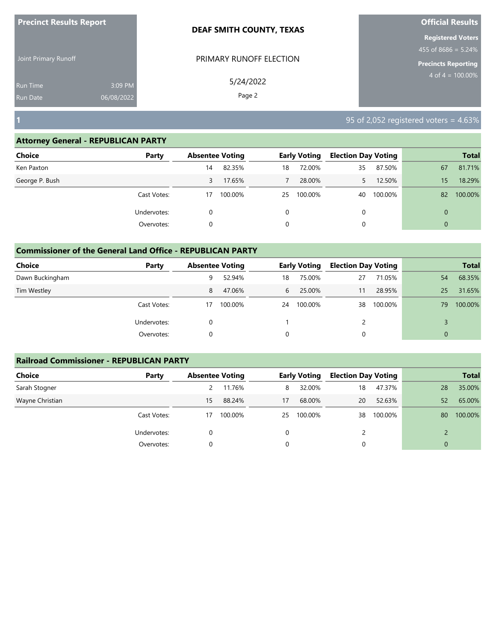|                                    | <b>Precinct Results Report</b> | <b>DEAF SMITH COUNTY, TEXAS</b> | <b>Official Results</b>                                                       |  |  |
|------------------------------------|--------------------------------|---------------------------------|-------------------------------------------------------------------------------|--|--|
| Joint Primary Runoff               |                                | PRIMARY RUNOFF ELECTION         | <b>Registered Voters</b><br>455 of 8686 = 5.24%<br><b>Precincts Reporting</b> |  |  |
| <b>Run Time</b><br><b>Run Date</b> | 3:09 PM<br>06/08/2022          | 5/24/2022<br>Page 2             | $4 \text{ of } 4 = 100.00\%$                                                  |  |  |
| Г                                  |                                |                                 | $95$ of 2,052 registered voters = 4.63%                                       |  |  |

| <b>Choice</b>  | Party       | <b>Absentee Voting</b> |         |          | <b>Early Voting</b> | <b>Election Day Voting</b> |         |          | <b>Total</b> |
|----------------|-------------|------------------------|---------|----------|---------------------|----------------------------|---------|----------|--------------|
| Ken Paxton     |             | 14                     | 82.35%  | 18       | 72.00%              | 35                         | 87.50%  | 67       | 81.71%       |
| George P. Bush |             | 3                      | 17.65%  |          | 28.00%              |                            | 12.50%  | 15       | 18.29%       |
|                | Cast Votes: | 17                     | 100.00% | 25       | 100.00%             | 40                         | 100.00% | 82       | 100.00%      |
|                | Undervotes: |                        |         | $\Omega$ |                     | 0                          |         | $\Omega$ |              |
|                | Overvotes:  |                        |         | $\Omega$ |                     |                            |         | $\Omega$ |              |

# **Commissioner of the General Land Office - REPUBLICAN PARTY**

| Choice          | Party       | <b>Absentee Voting</b> |         |          | <b>Early Voting</b> | <b>Election Day Voting</b> |         |                | <b>Total</b> |
|-----------------|-------------|------------------------|---------|----------|---------------------|----------------------------|---------|----------------|--------------|
| Dawn Buckingham |             | 9                      | 52.94%  | 18       | 75.00%              | 27                         | 71.05%  | 54             | 68.35%       |
| Tim Westley     |             | 8                      | 47.06%  | 6        | 25.00%              | 11                         | 28.95%  | 25             | 31.65%       |
|                 | Cast Votes: | 17                     | 100.00% | 24       | 100.00%             | 38                         | 100.00% | 79             | 100.00%      |
|                 | Undervotes: |                        |         |          |                     |                            |         |                |              |
|                 | Overvotes:  |                        |         | $\Omega$ |                     |                            |         | $\overline{0}$ |              |

### **Railroad Commissioner - REPUBLICAN PARTY**

| <b>Choice</b>   | Party       |    | <b>Absentee Voting</b> |    | <b>Early Voting</b> | <b>Election Day Voting</b> |         |    | <b>Total</b> |
|-----------------|-------------|----|------------------------|----|---------------------|----------------------------|---------|----|--------------|
| Sarah Stogner   |             | 2  | 11.76%                 | 8  | 32.00%              | 18                         | 47.37%  | 28 | 35.00%       |
| Wayne Christian |             | 15 | 88.24%                 | 17 | 68.00%              | 20                         | 52.63%  | 52 | 65.00%       |
|                 | Cast Votes: | 17 | 100.00%                | 25 | 100.00%             | 38                         | 100.00% | 80 | 100.00%      |
|                 | Undervotes: |    |                        | 0  |                     | 2                          |         |    |              |
|                 | Overvotes:  |    |                        | 0  |                     |                            |         |    |              |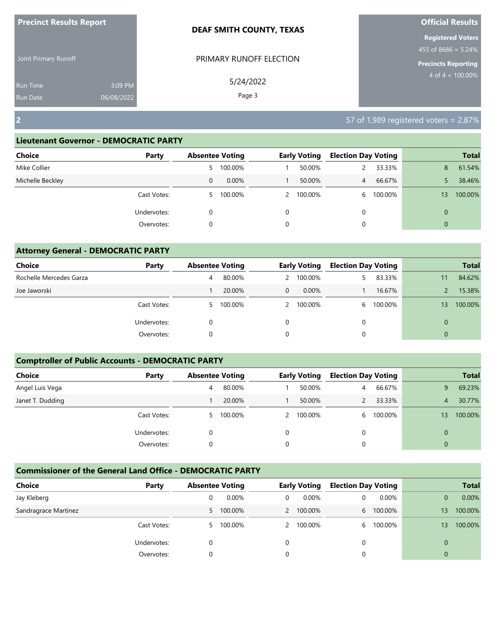| <b>Precinct Results Report</b>     |                       | DEAF SMITH COUNTY, TEXAS | <b>Official Results</b>                                                         |  |  |  |
|------------------------------------|-----------------------|--------------------------|---------------------------------------------------------------------------------|--|--|--|
| Joint Primary Runoff               |                       | PRIMARY RUNOFF ELECTION  | <b>Registered Voters</b><br>$455$ of 8686 = 5.24%<br><b>Precincts Reporting</b> |  |  |  |
| <b>Run Time</b><br><b>Run Date</b> | 3:09 PM<br>06/08/2022 | 5/24/2022<br>Page 3      | $4$ of $4 = 100.00\%$                                                           |  |  |  |
| $\overline{2}$                     |                       |                          | $157$ of 1,989 registered voters = 2.87%                                        |  |  |  |

| Choice           | Party       | <b>Absentee Voting</b> |           |   | <b>Early Voting</b> | <b>Election Day Voting</b> |         |                 | <b>Total</b> |
|------------------|-------------|------------------------|-----------|---|---------------------|----------------------------|---------|-----------------|--------------|
| Mike Collier     |             |                        | 5 100.00% |   | 50.00%              |                            | 33.33%  | 8               | 61.54%       |
| Michelle Beckley |             | 0                      | 0.00%     |   | 50.00%              | $\overline{4}$             | 66.67%  |                 | 38.46%       |
|                  | Cast Votes: | 5.                     | 100.00%   |   | 2 100.00%           | 6                          | 100.00% | 13 <sup>°</sup> | 100.00%      |
|                  | Undervotes: | 0                      |           | 0 |                     | 0                          |         | $\mathbf{0}$    |              |
|                  | Overvotes:  | 0                      |           | 0 |                     | 0                          |         | $\mathbf{0}$    |              |
|                  |             |                        |           |   |                     |                            |         |                 |              |

| <b>Attorney General - DEMOCRATIC PARTY</b> |             |   |                        |               |                     |                            |           |              |              |  |  |
|--------------------------------------------|-------------|---|------------------------|---------------|---------------------|----------------------------|-----------|--------------|--------------|--|--|
| <b>Choice</b>                              | Party       |   | <b>Absentee Voting</b> |               | <b>Early Voting</b> | <b>Election Day Voting</b> |           |              | <b>Total</b> |  |  |
| Rochelle Mercedes Garza                    |             | 4 | 80.00%                 | $\mathcal{P}$ | 100.00%             |                            | 83.33%    | 11           | 84.62%       |  |  |
| Joe Jaworski                               |             |   | 20.00%                 | $\Omega$      | $0.00\%$            |                            | 16.67%    |              | 15.38%       |  |  |
|                                            | Cast Votes: | 5 | 100.00%                |               | 100.00%             |                            | 6 100.00% | 13           | 100.00%      |  |  |
|                                            | Undervotes: | 0 |                        | $\Omega$      |                     | 0                          |           | $\Omega$     |              |  |  |
|                                            | Overvotes:  | 0 |                        | 0             |                     |                            |           | $\mathbf{0}$ |              |  |  |

## **Comptroller of Public Accounts - DEMOCRATIC PARTY**

| Choice           | Party       | <b>Absentee Voting</b> |           |          | <b>Early Voting</b> | <b>Election Day Voting</b> |         |                | <b>Total</b> |
|------------------|-------------|------------------------|-----------|----------|---------------------|----------------------------|---------|----------------|--------------|
| Angel Luis Vega  |             | 4                      | 80.00%    |          | 50.00%              | $\overline{4}$             | 66.67%  | 9              | 69.23%       |
| Janet T. Dudding |             |                        | 20.00%    |          | 50.00%              |                            | 33.33%  | 4              | 30.77%       |
|                  | Cast Votes: |                        | 5 100.00% |          | 2 100.00%           | 6.                         | 100.00% | 13             | 100.00%      |
|                  | Undervotes: |                        |           | $\Omega$ |                     |                            |         | 0              |              |
|                  | Overvotes:  |                        |           | $\Omega$ |                     |                            |         | $\overline{0}$ |              |

| Choice               | Party       | <b>Absentee Voting</b> |         |   | <b>Early Voting</b> | <b>Election Day Voting</b> |         |    | <b>Total</b> |
|----------------------|-------------|------------------------|---------|---|---------------------|----------------------------|---------|----|--------------|
| Jay Kleberg          |             |                        | 0.00%   | 0 | 0.00%               |                            | 0.00%   |    | 0.00%        |
| Sandragrace Martinez |             | 5.                     | 100.00% |   | 2 100.00%           | 6                          | 100.00% | 13 | 100.00%      |
|                      | Cast Votes: | 5                      | 100.00% |   | 2 100.00%           | h                          | 100.00% | 13 | 100.00%      |
|                      | Undervotes: |                        |         |   |                     |                            |         |    |              |
|                      | Overvotes:  |                        |         |   |                     |                            |         | 0  |              |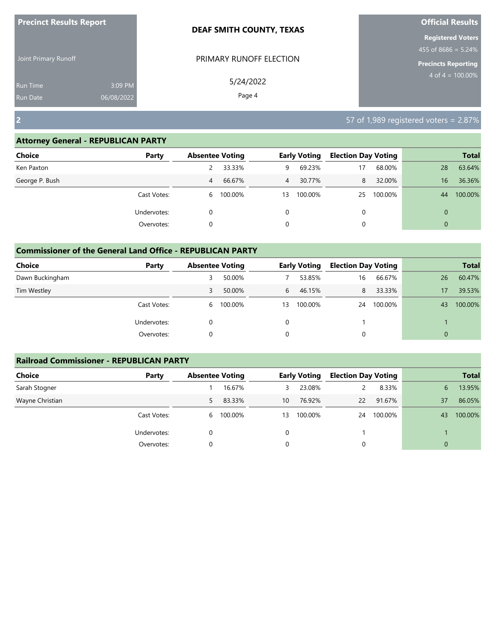| <b>Precinct Results Report</b>                              |  | <b>DEAF SMITH COUNTY, TEXAS</b> | <b>Official Results</b>                                                          |  |  |
|-------------------------------------------------------------|--|---------------------------------|----------------------------------------------------------------------------------|--|--|
| Joint Primary Runoff                                        |  | PRIMARY RUNOFF ELECTION         | <b>Registered Voters</b><br>455 of 8686 = $5.24\%$<br><b>Precincts Reporting</b> |  |  |
| 3:09 PM<br><b>Run Time</b><br>06/08/2022<br><b>Run Date</b> |  | 5/24/2022<br>Page 4             | $4$ of $4 = 100.00\%$                                                            |  |  |
| $\overline{2}$                                              |  |                                 | 57 of 1,989 registered voters = 2.87%                                            |  |  |

| <b>Choice</b>  | Party       | <b>Absentee Voting</b> |         |          | <b>Early Voting</b> | <b>Election Day Voting</b> |         |              | <b>Total</b> |
|----------------|-------------|------------------------|---------|----------|---------------------|----------------------------|---------|--------------|--------------|
| Ken Paxton     |             |                        | 33.33%  | 9        | 69.23%              |                            | 68.00%  | 28           | 63.64%       |
| George P. Bush |             | 4                      | 66.67%  | 4        | 30.77%              | 8                          | 32.00%  | 16           | 36.36%       |
|                | Cast Votes: | 6                      | 100.00% | 13       | 100.00%             | 25                         | 100.00% | 44           | 100.00%      |
|                | Undervotes: |                        |         | $\Omega$ |                     | 0                          |         | $\Omega$     |              |
|                | Overvotes:  |                        |         | 0        |                     |                            |         | $\mathbf{0}$ |              |

| <b>Commissioner of the General Land Office - REPUBLICAN PARTY</b> |             |   |                        |    |                     |                            |         |    |              |
|-------------------------------------------------------------------|-------------|---|------------------------|----|---------------------|----------------------------|---------|----|--------------|
| <b>Choice</b>                                                     | Party       |   | <b>Absentee Voting</b> |    | <b>Early Voting</b> | <b>Election Day Voting</b> |         |    | <b>Total</b> |
| Dawn Buckingham                                                   |             | 3 | 50.00%                 |    | 53.85%              | 16                         | 66.67%  | 26 | 60.47%       |
| Tim Westley                                                       |             | 3 | 50.00%                 | 6  | 46.15%              | 8                          | 33.33%  | 17 | 39.53%       |
|                                                                   | Cast Votes: | 6 | 100.00%                | 13 | 100.00%             | 24                         | 100.00% | 43 | 100.00%      |
|                                                                   | Undervotes: | 0 |                        | 0  |                     |                            |         |    |              |
|                                                                   | Overvotes:  | 0 |                        | 0  |                     | 0                          |         |    |              |

| <b>Railroad Commissioner - REPUBLICAN PARTY</b> |             |                        |           |    |                     |                            |         |    |              |
|-------------------------------------------------|-------------|------------------------|-----------|----|---------------------|----------------------------|---------|----|--------------|
| <b>Choice</b>                                   | Party       | <b>Absentee Voting</b> |           |    | <b>Early Voting</b> | <b>Election Day Voting</b> |         |    | <b>Total</b> |
| Sarah Stogner                                   |             |                        | 16.67%    | 3  | 23.08%              |                            | 8.33%   | 6  | 13.95%       |
| Wayne Christian                                 |             | 5                      | 83.33%    | 10 | 76.92%              | 22                         | 91.67%  | 37 | 86.05%       |
|                                                 | Cast Votes: |                        | 6 100.00% | 13 | 100.00%             | 24                         | 100.00% | 43 | 100.00%      |
|                                                 | Undervotes: | 0                      |           |    |                     |                            |         |    |              |
|                                                 | Overvotes:  | 0                      |           | 0  |                     |                            |         |    |              |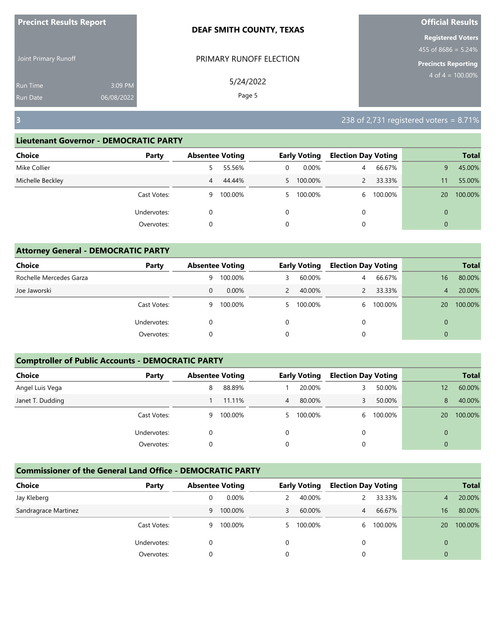| <b>Precinct Results Report</b> |            | DEAF SMITH COUNTY, TEXAS | <b>Official Results</b>                           |
|--------------------------------|------------|--------------------------|---------------------------------------------------|
| Joint Primary Runoff           |            | PRIMARY RUNOFF ELECTION  | <b>Registered Voters</b><br>$455$ of 8686 = 5.24% |
|                                |            |                          | <b>Precincts Reporting</b>                        |
| <b>Run Time</b>                | 3:09 PM    | 5/24/2022                | $4 \text{ of } 4 = 100.00\%$                      |
| <b>Run Date</b>                | 06/08/2022 | Page 5                   |                                                   |
| $\overline{\mathbf{3}}$        |            |                          | 238 of 2,731 registered voters = $8.71\%$         |

| <b>Choice</b><br>Party |   | <b>Absentee Voting</b> |   | <b>Early Voting</b> | <b>Election Day Voting</b> |         |                | <b>Total</b> |
|------------------------|---|------------------------|---|---------------------|----------------------------|---------|----------------|--------------|
| Mike Collier           | 5 | 55.56%                 | 0 | $0.00\%$            | $\overline{4}$             | 66.67%  | 9              | 45.00%       |
| Michelle Beckley       | 4 | 44.44%                 |   | 5 100.00%           |                            | 33.33%  | 11             | 55.00%       |
| Cast Votes:            | 9 | 100.00%                |   | 5 100.00%           | 6                          | 100.00% | 20             | 100.00%      |
| Undervotes:            |   |                        | 0 |                     | 0                          |         | $\overline{0}$ |              |
| Overvotes:             | 0 |                        | 0 |                     | 0                          |         | $\overline{0}$ |              |

| <b>Attorney General - DEMOCRATIC PARTY</b> |             |   |                        |               |                     |                            |         |                |              |
|--------------------------------------------|-------------|---|------------------------|---------------|---------------------|----------------------------|---------|----------------|--------------|
| Choice                                     | Party       |   | <b>Absentee Voting</b> |               | <b>Early Voting</b> | <b>Election Day Voting</b> |         |                | <b>Total</b> |
| Rochelle Mercedes Garza                    |             | 9 | 100.00%                | 3             | 60.00%              | 4                          | 66.67%  | 16             | 80.00%       |
| Joe Jaworski                               |             | 0 | $0.00\%$               | $\mathcal{P}$ | 40.00%              |                            | 33.33%  | $\overline{4}$ | 20.00%       |
|                                            | Cast Votes: | 9 | 100.00%                | 5.            | 100.00%             | 6                          | 100.00% | 20             | 100.00%      |
|                                            | Undervotes: | 0 |                        | $\Omega$      |                     | $\Omega$                   |         | $\Omega$       |              |
|                                            | Overvotes:  | 0 |                        | 0             |                     |                            |         | $\mathbf 0$    |              |

# **Comptroller of Public Accounts - DEMOCRATIC PARTY**

| Choice           | Party       | <b>Absentee Voting</b> |         |    | <b>Early Voting</b> | <b>Election Day Voting</b> |         |          | <b>Total</b> |
|------------------|-------------|------------------------|---------|----|---------------------|----------------------------|---------|----------|--------------|
| Angel Luis Vega  |             | 8                      | 88.89%  |    | 20.00%              |                            | 50.00%  | 12       | 60.00%       |
| Janet T. Dudding |             |                        | 11.11%  | 4  | 80.00%              |                            | 50.00%  | 8        | 40.00%       |
|                  | Cast Votes: | 9                      | 100.00% | 5. | 100.00%             | 6.                         | 100.00% | 20       | 100.00%      |
|                  | Undervotes: | 0                      |         | 0  |                     |                            |         | $\Omega$ |              |
|                  | Overvotes:  |                        |         | 0  |                     |                            |         | $\Omega$ |              |

| Choice               | Party       | <b>Absentee Voting</b> |          |   | <b>Early Voting</b> | <b>Election Day Voting</b> |         |    | <b>Total</b> |
|----------------------|-------------|------------------------|----------|---|---------------------|----------------------------|---------|----|--------------|
| Jay Kleberg          |             |                        | $0.00\%$ |   | 40.00%              |                            | 33.33%  | 4  | 20.00%       |
| Sandragrace Martinez |             | 9                      | 100.00%  | 3 | 60.00%              | 4                          | 66.67%  | 16 | 80.00%       |
|                      | Cast Votes: | 9                      | 100.00%  |   | 100.00%             | h                          | 100.00% | 20 | 100.00%      |
|                      | Undervotes: |                        |          | 0 |                     |                            |         | 0  |              |
|                      | Overvotes:  |                        |          |   |                     |                            |         | 0  |              |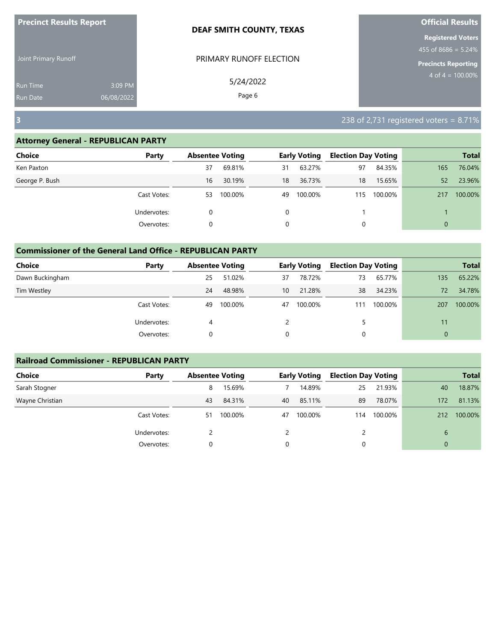| <b>Precinct Results Report</b>     |                       | <b>DEAF SMITH COUNTY, TEXAS</b> | <b>Official Results</b>                            |  |  |
|------------------------------------|-----------------------|---------------------------------|----------------------------------------------------|--|--|
| Joint Primary Runoff               |                       | PRIMARY RUNOFF ELECTION         | <b>Registered Voters</b><br>455 of $8686 = 5.24\%$ |  |  |
|                                    |                       |                                 | <b>Precincts Reporting</b>                         |  |  |
| <b>Run Time</b><br><b>Run Date</b> | 3:09 PM<br>06/08/2022 | 5/24/2022<br>Page 6             | $4 \text{ of } 4 = 100.00\%$                       |  |  |
| $\overline{\mathbf{3}}$            |                       |                                 | 238 of 2,731 registered voters = $8.71\%$          |  |  |

| Choice         | Party       |    | <b>Absentee Voting</b> |          | <b>Early Voting</b> | <b>Election Day Voting</b> |         |                | <b>Total</b> |
|----------------|-------------|----|------------------------|----------|---------------------|----------------------------|---------|----------------|--------------|
| Ken Paxton     |             | 37 | 69.81%                 | 31       | 63.27%              | 97                         | 84.35%  | 165            | 76.04%       |
| George P. Bush |             | 16 | 30.19%                 | 18       | 36.73%              | 18                         | 15.65%  | 52             | 23.96%       |
|                | Cast Votes: | 53 | 100.00%                | 49       | 100.00%             | 115                        | 100.00% | 217            | 100.00%      |
|                | Undervotes: | 0  |                        | 0        |                     |                            |         |                |              |
|                | Overvotes:  |    |                        | $\Omega$ |                     |                            |         | $\overline{0}$ |              |

| <b>Commissioner of the General Land Office - REPUBLICAN PARTY</b> |             |    |                        |                 |                     |                            |         |              |              |
|-------------------------------------------------------------------|-------------|----|------------------------|-----------------|---------------------|----------------------------|---------|--------------|--------------|
| <b>Choice</b>                                                     | Party       |    | <b>Absentee Voting</b> |                 | <b>Early Voting</b> | <b>Election Day Voting</b> |         |              | <b>Total</b> |
| Dawn Buckingham                                                   |             | 25 | 51.02%                 | 37              | 78.72%              | 73                         | 65.77%  | 135          | 65.22%       |
| Tim Westley                                                       |             | 24 | 48.98%                 | 10 <sup>°</sup> | 21.28%              | 38                         | 34.23%  | 72           | 34.78%       |
|                                                                   | Cast Votes: | 49 | 100.00%                | 47              | 100.00%             | 111                        | 100.00% | 207          | 100.00%      |
|                                                                   | Undervotes: | 4  |                        |                 |                     |                            |         | 11           |              |
|                                                                   | Overvotes:  | 0  |                        | 0               |                     | 0                          |         | $\mathbf{0}$ |              |

| <b>Railroad Commissioner - REPUBLICAN PARTY</b> |             |    |                        |    |                     |                            |         |              |              |
|-------------------------------------------------|-------------|----|------------------------|----|---------------------|----------------------------|---------|--------------|--------------|
| <b>Choice</b>                                   | Party       |    | <b>Absentee Voting</b> |    | <b>Early Voting</b> | <b>Election Day Voting</b> |         |              | <b>Total</b> |
| Sarah Stogner                                   |             | 8  | 15.69%                 |    | 14.89%              | 25                         | 21.93%  | 40           | 18.87%       |
| Wayne Christian                                 |             | 43 | 84.31%                 | 40 | 85.11%              | 89                         | 78.07%  | 172          | 81.13%       |
|                                                 | Cast Votes: | 51 | 100.00%                | 47 | 100.00%             | 114                        | 100.00% | 212          | 100.00%      |
|                                                 | Undervotes: |    |                        |    |                     |                            |         | 6            |              |
|                                                 | Overvotes:  | 0  |                        |    |                     | 0                          |         | $\mathbf{0}$ |              |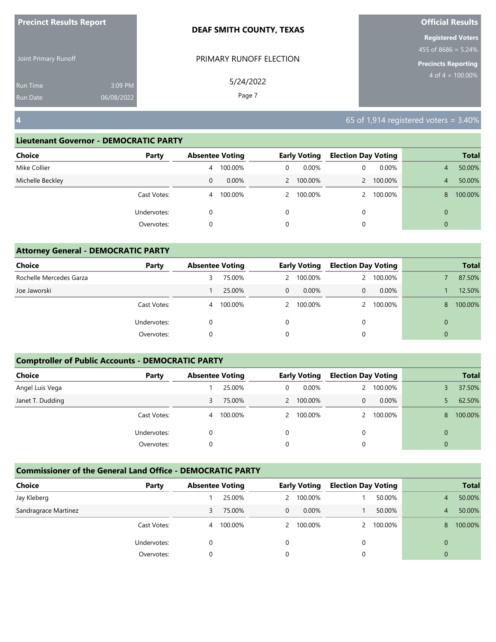| <b>Precinct Results Report</b> |                       | <b>DEAF SMITH COUNTY, TEXAS</b> | <b>Official Results</b>                                                   |
|--------------------------------|-----------------------|---------------------------------|---------------------------------------------------------------------------|
| Joint Primary Runoff           |                       | PRIMARY RUNOFF ELECTION         | <b>Registered Voters</b><br>455 of 8686 = $5.24\%$<br>Precincts Reporting |
| <b>Run Time</b><br>Run Date    | 3:09 PM<br>06/08/2022 | 5/24/2022<br>Page 7             | $4 \text{ of } 4 = 100.00\%$                                              |
| $\overline{\mathbf{4}}$        |                       |                                 | 65 of 1,914 registered voters = $3.40\%$                                  |

| Party       |   |          |                        |       |                                               |         |                                             | <b>Total</b> |
|-------------|---|----------|------------------------|-------|-----------------------------------------------|---------|---------------------------------------------|--------------|
|             | 4 | 100.00%  | 0                      | 0.00% | 0                                             | 0.00%   | 4                                           | 50.00%       |
|             | 0 | $0.00\%$ |                        |       |                                               | 100.00% | 4                                           | 50.00%       |
| Cast Votes: | 4 | 100.00%  |                        |       |                                               | 100.00% | 8                                           | 100.00%      |
| Undervotes: | 0 |          | 0                      |       | 0                                             |         | $\mathbf{0}$                                |              |
| Overvotes:  | 0 |          | 0                      |       | 0                                             |         | $\Omega$                                    |              |
|             |   |          | <b>Absentee Voting</b> |       | <b>Early Voting</b><br>2 100.00%<br>2 100.00% |         | <b>Election Day Voting</b><br>$\mathcal{P}$ |              |

| <b>Attorney General - DEMOCRATIC PARTY</b> |             |                        |         |          |                     |                            |           |   |              |
|--------------------------------------------|-------------|------------------------|---------|----------|---------------------|----------------------------|-----------|---|--------------|
| Choice                                     | Party       | <b>Absentee Voting</b> |         |          | <b>Early Voting</b> | <b>Election Day Voting</b> |           |   | <b>Total</b> |
| Rochelle Mercedes Garza                    |             | 3                      | 75.00%  |          | 2 100.00%           | $\mathbf{2}$               | 100.00%   |   | 87.50%       |
| Joe Jaworski                               |             |                        | 25.00%  | $\Omega$ | 0.00%               | $\Omega$                   | 0.00%     |   | 12.50%       |
|                                            | Cast Votes: | 4                      | 100.00% |          | 2 100.00%           |                            | 2 100.00% | 8 | 100.00%      |
|                                            | Undervotes: |                        |         |          |                     | $\Omega$                   |           | 0 |              |
|                                            | Overvotes:  | C                      |         |          |                     | $\Omega$                   |           | 0 |              |

## **Comptroller of Public Accounts - DEMOCRATIC PARTY**

| Choice           | Party       | <b>Absentee Voting</b> |         |   | <b>Early Voting</b> | <b>Election Day Voting</b> |           |                | <b>Total</b> |
|------------------|-------------|------------------------|---------|---|---------------------|----------------------------|-----------|----------------|--------------|
| Angel Luis Vega  |             |                        | 25.00%  | 0 | $0.00\%$            | 2                          | 100.00%   |                | 37.50%       |
| Janet T. Dudding |             | 3                      | 75.00%  |   | 2 100.00%           | $\mathbf 0$                | $0.00\%$  |                | 62.50%       |
|                  | Cast Votes: | 4                      | 100.00% |   | 2 100.00%           |                            | 2 100.00% | 8              | 100.00%      |
|                  | Undervotes: |                        |         | 0 |                     |                            |           | 0              |              |
|                  | Overvotes:  |                        |         | 0 |                     |                            |           | $\overline{0}$ |              |

| Choice               | Party       | <b>Absentee Voting</b> |         |   | <b>Early Voting</b> | <b>Election Day Voting</b> |         |          | <b>Total</b> |
|----------------------|-------------|------------------------|---------|---|---------------------|----------------------------|---------|----------|--------------|
| Jay Kleberg          |             |                        | 25.00%  |   | 2 100.00%           |                            | 50.00%  | 4        | 50.00%       |
| Sandragrace Martinez |             | 3                      | 75.00%  | 0 | $0.00\%$            |                            | 50.00%  | 4        | 50.00%       |
|                      | Cast Votes: | 4                      | 100.00% |   | 2 100.00%           |                            | 100.00% | 8        | 100.00%      |
|                      | Undervotes: |                        |         | 0 |                     |                            |         |          |              |
|                      | Overvotes:  |                        |         |   |                     |                            |         | $\Omega$ |              |